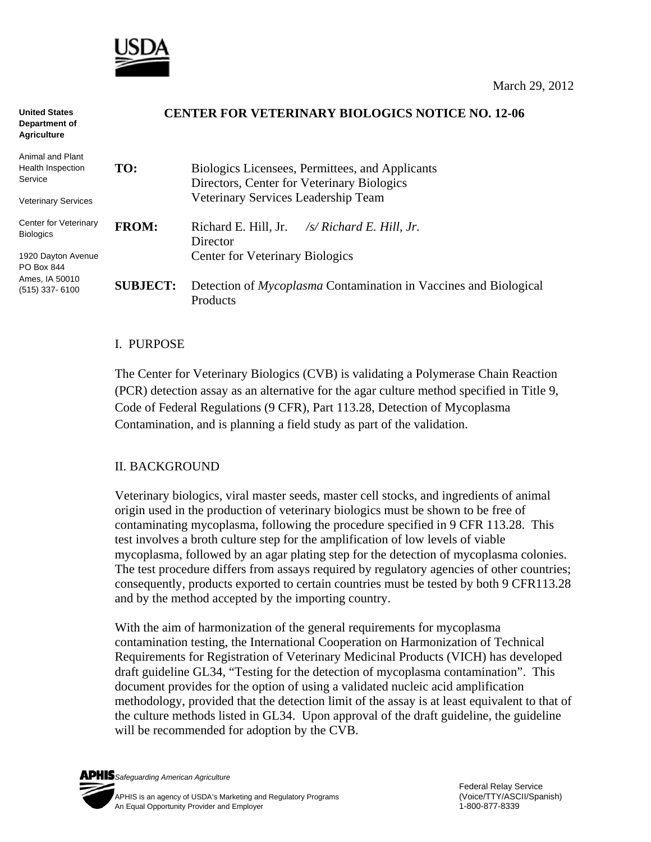

#### **CENTER FOR VETERINARY BIOLOGICS NOTICE NO. 12-06 TO:** Biologics Licensees, Permittees, and Applicants Directors, Center for Veterinary Biologics Veterinary Services Leadership Team **FROM:** Richard E. Hill, Jr. */s/ Richard E. Hill, Jr.* **Director**  Center for Veterinary Biologics **United States Department of Agriculture**  Animal and Plant Health Inspection **Service** Veterinary Services Center for Veterinary Biologics 1920 Dayton Avenue PO Box 844

**SUBJECT:** Detection of *Mycoplasma* Contamination in Vaccines and Biological **Products** Ames, IA 50010 (515) 337- 6100

#### I. PURPOSE

The Center for Veterinary Biologics (CVB) is validating a Polymerase Chain Reaction (PCR) detection assay as an alternative for the agar culture method specified in Title 9, Code of Federal Regulations (9 CFR), Part 113.28, Detection of Mycoplasma Contamination, and is planning a field study as part of the validation.

## II. BACKGROUND

Veterinary biologics, viral master seeds, master cell stocks, and ingredients of animal origin used in the production of veterinary biologics must be shown to be free of contaminating mycoplasma, following the procedure specified in 9 CFR 113.28. This test involves a broth culture step for the amplification of low levels of viable mycoplasma, followed by an agar plating step for the detection of mycoplasma colonies. The test procedure differs from assays required by regulatory agencies of other countries; consequently, products exported to certain countries must be tested by both 9 CFR113.28 and by the method accepted by the importing country.

With the aim of harmonization of the general requirements for mycoplasma contamination testing, the International Cooperation on Harmonization of Technical Requirements for Registration of Veterinary Medicinal Products (VICH) has developed draft guideline GL34, "Testing for the detection of mycoplasma contamination". This document provides for the option of using a validated nucleic acid amplification methodology, provided that the detection limit of the assay is at least equivalent to that of the culture methods listed in GL34. Upon approval of the draft guideline, the guideline will be recommended for adoption by the CVB.